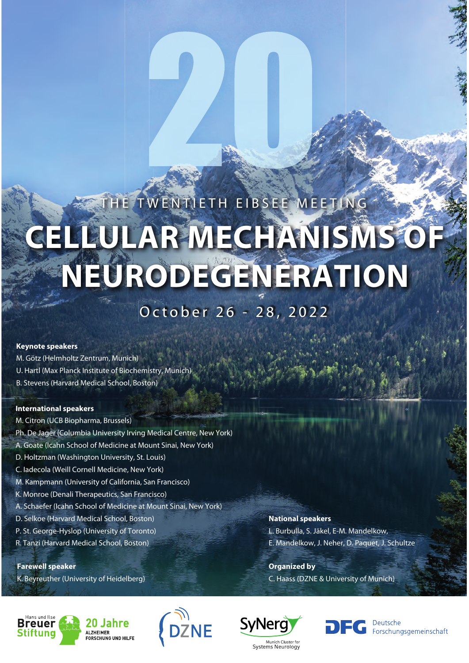# THE TWENTIETH EIBSEE MEETING **CELLULAR MECHANISMS OF NEURODEGENERATION**

# October 26 - 28, 2022

# **Keynote speakers**

- M. Götz (Helmholtz Zentrum, Munich)
- U. Hartl (Max Planck Institute of Biochemistry, Munich)
- B. Stevens (Harvard Medical School, Boston)

# **International speakers**

- M. Citron (UCB Biopharma, Brussels)
- Ph. De Jager (Columbia University Irving Medical Centre, New York)
- A. Goate (Icahn School of Medicine at Mount Sinai, New York)
- D. Holtzman (Washington University, St. Louis)
- C. Iadecola (Weill Cornell Medicine, New York)
- M. Kampmann (University of California, San Francisco)
- K. Monroe (Denali Therapeutics, San Francisco)
- A. Schaefer (Icahn School of Medicine at Mount Sinai, New York)
- D. Selkoe (Harvard Medical School, Boston)
- P. St. George-Hyslop (University of Toronto)
- R. Tanzi (Harvard Medical School, Boston)

# **Farewell speaker**

K. Beyreuther (University of Heidelberg)

# **National speakers**

L. Burbulla, S. Jäkel, E-M. Mandelkow, E. Mandelkow, J. Neher, D. Paquet, J. Schultze

**Organized by** C. Haass (DZNE & University of Munich)







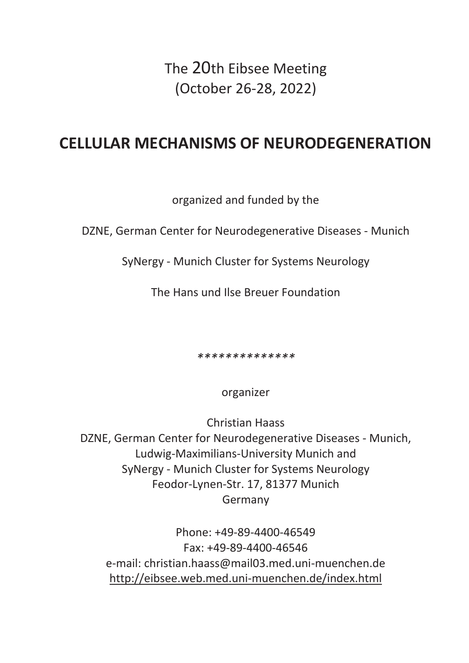The 20th Eibsee Meeting (October 26-28, 2022)

# **CELLULAR MECHANISMS OF NEURODEGENERATION**

organized and funded by the

DZNE, German Center for Neurodegenerative Diseases - Munich

SyNergy - Munich Cluster for Systems Neurology

The Hans und Ilse Breuer Foundation

*\*\*\*\*\*\*\*\*\*\*\*\*\*\**

organizer

Christian Haass DZNE, German Center for Neurodegenerative Diseases - Munich, Ludwig-Maximilians-University Munich and SyNergy - Munich Cluster for Systems Neurology Feodor-Lynen-Str. 17, 81377 Munich Germany

Phone: +49-89-4400-46549 Fax: +49-89-4400-46546 e-mail: christian.haass@mail03.med.uni-muenchen.de http://eibsee.web.med.uni-muenchen.de/index.html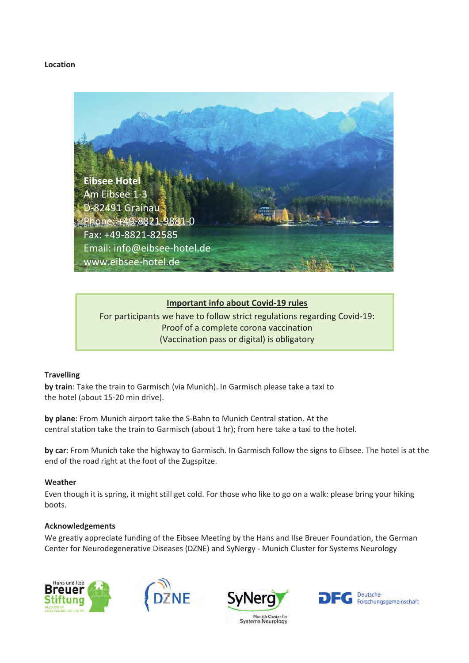# **Location**



# **Important info about Covid-19 rules**

For participants we have to follow strict regulations regarding Covid-19: Proof of a complete corona vaccination (Vaccination pass or digital) is obligatory

# **Travelling**

**by train**: Take the train to Garmisch (via Munich). In Garmisch please take a taxi to the hotel (about 15-20 min drive).

**by plane**: From Munich airport take the S-Bahn to Munich Central station. At the central station take the train to Garmisch (about 1 hr); from here take a taxi to the hotel.

**by car**: From Munich take the highway to Garmisch. In Garmisch follow the signs to Eibsee. The hotel is at the end of the road right at the foot of the Zugspitze.

# **Weather**

Even though it is spring, it might still get cold. For those who like to go on a walk: please bring your hiking boots.

# **Acknowledgements**

We greatly appreciate funding of the Eibsee Meeting by the Hans and Ilse Breuer Foundation, the German Center for Neurodegenerative Diseases (DZNE) and SyNergy - Munich Cluster for Systems Neurology







Munich Cluster for **Systems Neurology** 

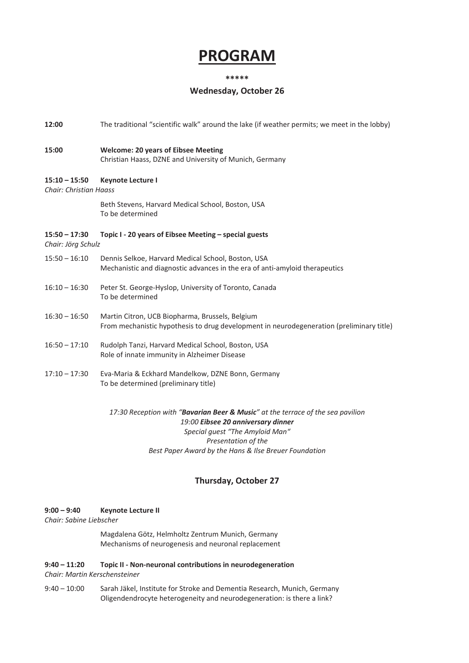# **PROGRAM**

#### **\*\*\*\*\***

# **Wednesday, October 26**

**12:00** The traditional "scientific walk" around the lake (if weather permits; we meet in the lobby)

# **15:00 Welcome: 20 years of Eibsee Meeting**  Christian Haass, DZNE and University of Munich, Germany

# **15:10 – 15:50 Keynote Lecture I**

*Chair: Christian Haass*

 Beth Stevens, Harvard Medical School, Boston, USA To be determined

#### **15:50 – 17:30** Topic I - 20 years of Eibsee Meeting – special guests *Chair: Jörg Schulz*

- 15:50 16:10 Dennis Selkoe, Harvard Medical School, Boston, USA Mechanistic and diagnostic advances in the era of anti-amyloid therapeutics
- 16:10 16:30 Peter St. George-Hyslop, University of Toronto, Canada To be determined
- 16:30 16:50 Martin Citron, UCB Biopharma, Brussels, Belgium From mechanistic hypothesis to drug development in neurodegeneration (preliminary title)
- 16:50 17:10 Rudolph Tanzi, Harvard Medical School, Boston, USA Role of innate immunity in Alzheimer Disease
- 17:10 17:30 Eva-Maria & Eckhard Mandelkow, DZNE Bonn, Germany To be determined (preliminary title)

# *17:30 Reception with "Bavarian Beer & Music" at the terrace of the sea pavilion 19:00 Eibsee 20 anniversary dinner Special guest "The Amyloid Man" Presentation of the Best Paper Award by the Hans & Ilse Breuer Foundation*

# **Thursday, October 27**

#### **9:00 – 9:40 Keynote Lecture II**

*Chair: Sabine Liebscher* 

Magdalena Götz, Helmholtz Zentrum Munich, Germany Mechanisms of neurogenesis and neuronal replacement

#### **9:40**  $- 11:20$  **Topic II** - Non-neuronal contributions in neurodegeneration *Chair: Martin Kerschensteiner*

9:40 – 10:00 Sarah Jäkel, Institute for Stroke and Dementia Research, Munich, Germany Oligendendrocyte heterogeneity and neurodegeneration: is there a link?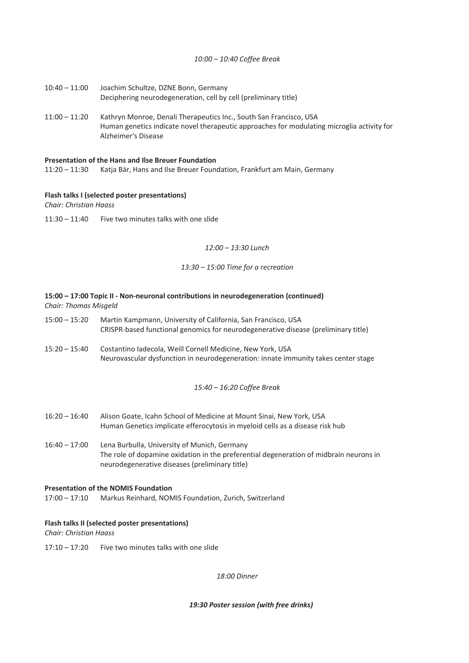# *10:00 – 10:40 Coffee Break*

- 10:40 11:00 Joachim Schultze, DZNE Bonn, Germany Deciphering neurodegeneration, cell by cell (preliminary title)
- 11:00 11:20 Kathryn Monroe, Denali Therapeutics Inc., South San Francisco, USA Human genetics indicate novel therapeutic approaches for modulating microglia activity for Alzheimer's Disease

#### **Presentation of the Hans and Ilse Breuer Foundation**

11:20 – 11:30 Katja Bär, Hans and Ilse Breuer Foundation, Frankfurt am Main, Germany

# **Flash talks I (selected poster presentations)**

*Chair: Christian Haass*

11:30 – 11:40 Five two minutes talks with one slide

### *12:00 – 13:30 Lunch*

#### *13:30 – 15:00 Time for a recreation*

# **15:00 – 17:00 Topic IIͲNonͲneuronal contributions in neurodegeneration (continued)** *Chair: Thomas Misgeld*

- 15:00 15:20 Martin Kampmann, University of California, San Francisco, USA CRISPR-based functional genomics for neurodegenerative disease (preliminary title)
- 15:20 15:40 Costantino Iadecola, Weill Cornell Medicine, New York, USA Neurovascular dysfunction in neurodegeneration: innate immunity takes center stage

# *15:40 – 16:20 Coffee Break*

- 16:20 16:40 Alison Goate, Icahn School of Medicine at Mount Sinai, New York, USA Human Genetics implicate efferocytosis in myeloid cells as a disease risk hub
- 16:40 17:00 Lena Burbulla, University of Munich, Germany The role of dopamine oxidation in the preferential degeneration of midbrain neurons in neurodegenerative diseases (preliminary title)

#### **Presentation of the NOMIS Foundation**

17:00 – 17:10 Markus Reinhard, NOMIS Foundation, Zurich, Switzerland

#### **Flash talks II (selected poster presentations)**

*Chair: Christian Haass*

17:10 – 17:20 Five two minutes talks with one slide

*18:00 Dinner*

*19:30 Poster session (with free drinks)*